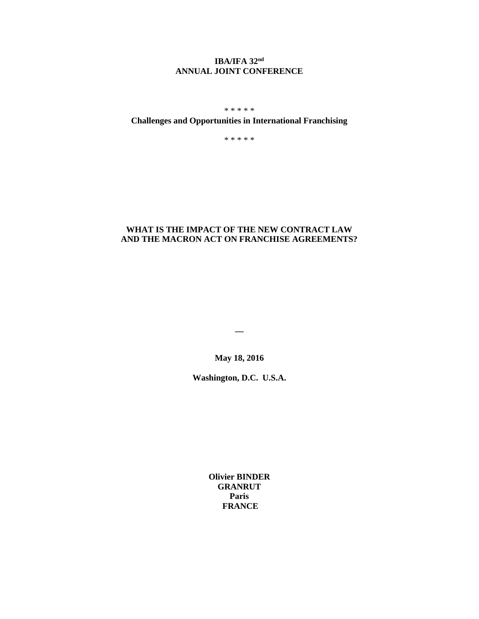## **IBA/IFA 32nd ANNUAL JOINT CONFERENCE**

\* \* \* \* \*

# **Challenges and Opportunities in International Franchising**

\* \* \* \* \*

### **WHAT IS THE IMPACT OF THE NEW CONTRACT LAW AND THE MACRON ACT ON FRANCHISE AGREEMENTS?**

**\_\_**

**May 18, 2016**

**Washington, D.C. U.S.A.**

**Olivier BINDER GRANRUT Paris FRANCE**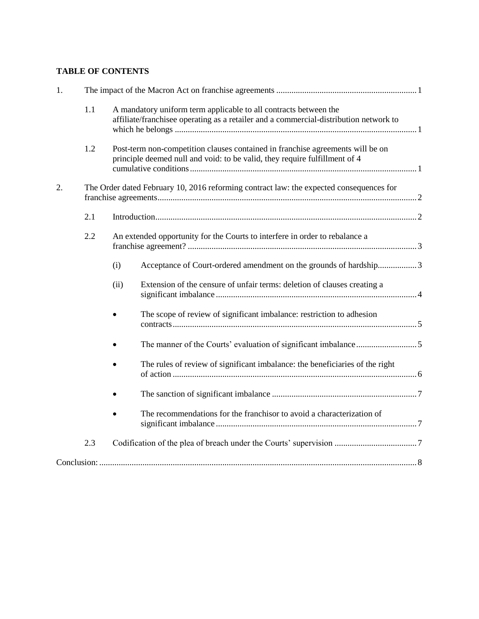# **TABLE OF CONTENTS**

| 1. |                                                                                         |                                                                                                                                                              |                                                                              |  |
|----|-----------------------------------------------------------------------------------------|--------------------------------------------------------------------------------------------------------------------------------------------------------------|------------------------------------------------------------------------------|--|
|    | 1.1                                                                                     | A mandatory uniform term applicable to all contracts between the<br>affiliate/franchisee operating as a retailer and a commercial-distribution network to    |                                                                              |  |
|    | 1.2                                                                                     | Post-term non-competition clauses contained in franchise agreements will be on<br>principle deemed null and void: to be valid, they require fulfillment of 4 |                                                                              |  |
| 2. | The Order dated February 10, 2016 reforming contract law: the expected consequences for |                                                                                                                                                              |                                                                              |  |
|    | 2.1                                                                                     |                                                                                                                                                              |                                                                              |  |
|    | 2.2                                                                                     | An extended opportunity for the Courts to interfere in order to rebalance a                                                                                  |                                                                              |  |
|    |                                                                                         | (i)                                                                                                                                                          | Acceptance of Court-ordered amendment on the grounds of hardship3            |  |
|    |                                                                                         | (ii)                                                                                                                                                         | Extension of the censure of unfair terms: deletion of clauses creating a     |  |
|    |                                                                                         |                                                                                                                                                              | The scope of review of significant imbalance: restriction to adhesion        |  |
|    |                                                                                         |                                                                                                                                                              |                                                                              |  |
|    |                                                                                         |                                                                                                                                                              | The rules of review of significant imbalance: the beneficiaries of the right |  |
|    |                                                                                         |                                                                                                                                                              |                                                                              |  |
|    |                                                                                         |                                                                                                                                                              | The recommendations for the franchisor to avoid a characterization of        |  |
|    | 2.3                                                                                     |                                                                                                                                                              |                                                                              |  |
|    |                                                                                         |                                                                                                                                                              |                                                                              |  |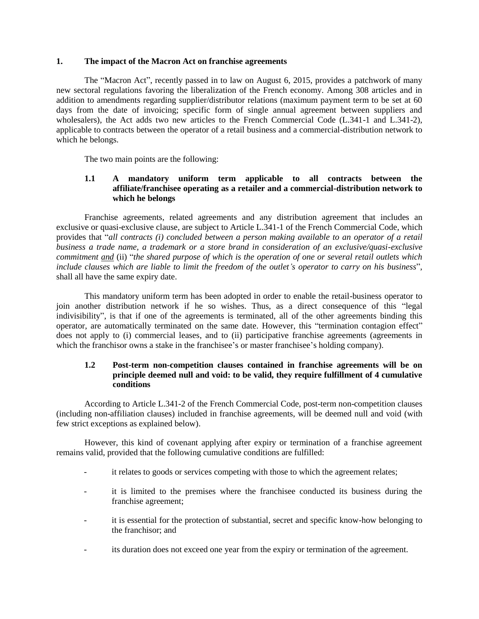#### <span id="page-2-0"></span>**1. The impact of the Macron Act on franchise agreements**

The "Macron Act", recently passed in to law on August 6, 2015, provides a patchwork of many new sectoral regulations favoring the liberalization of the French economy. Among 308 articles and in addition to amendments regarding supplier/distributor relations (maximum payment term to be set at 60 days from the date of invoicing; specific form of single annual agreement between suppliers and wholesalers), the Act adds two new articles to the French Commercial Code (L.341-1 and L.341-2), applicable to contracts between the operator of a retail business and a commercial-distribution network to which he belongs.

The two main points are the following:

### <span id="page-2-1"></span>**1.1 A mandatory uniform term applicable to all contracts between the affiliate/franchisee operating as a retailer and a commercial-distribution network to which he belongs**

Franchise agreements, related agreements and any distribution agreement that includes an exclusive or quasi-exclusive clause, are subject to Article L.341-1 of the French Commercial Code, which provides that "*all contracts (i) concluded between a person making available to an operator of a retail business a trade name, a trademark or a store brand in consideration of an exclusive/quasi-exclusive commitment and* (ii) "*the shared purpose of which is the operation of one or several retail outlets which include clauses which are liable to limit the freedom of the outlet's operator to carry on his business*", shall all have the same expiry date.

This mandatory uniform term has been adopted in order to enable the retail-business operator to join another distribution network if he so wishes. Thus, as a direct consequence of this "legal indivisibility", is that if one of the agreements is terminated, all of the other agreements binding this operator, are automatically terminated on the same date. However, this "termination contagion effect" does not apply to (i) commercial leases, and to (ii) participative franchise agreements (agreements in which the franchisor owns a stake in the franchisee's or master franchisee's holding company).

## <span id="page-2-2"></span>**1.2 Post-term non-competition clauses contained in franchise agreements will be on principle deemed null and void: to be valid, they require fulfillment of 4 cumulative conditions**

According to Article L.341-2 of the French Commercial Code, post-term non-competition clauses (including non-affiliation clauses) included in franchise agreements, will be deemed null and void (with few strict exceptions as explained below).

However, this kind of covenant applying after expiry or termination of a franchise agreement remains valid, provided that the following cumulative conditions are fulfilled:

- it relates to goods or services competing with those to which the agreement relates;
- it is limited to the premises where the franchisee conducted its business during the franchise agreement;
- it is essential for the protection of substantial, secret and specific know-how belonging to the franchisor; and
- its duration does not exceed one year from the expiry or termination of the agreement.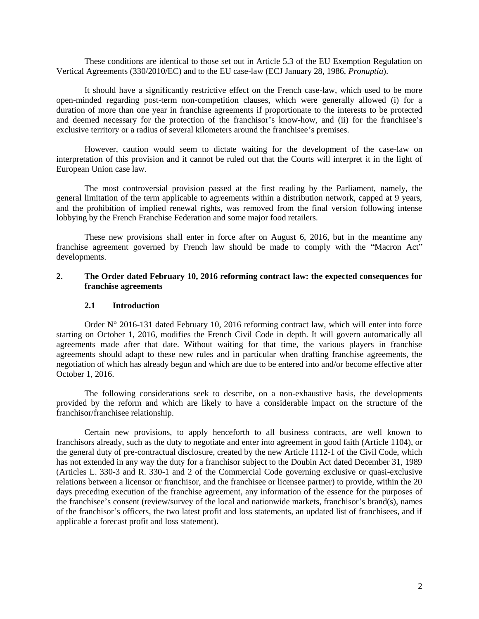These conditions are identical to those set out in Article 5.3 of the EU Exemption Regulation on Vertical Agreements (330/2010/EC) and to the EU case-law (ECJ January 28, 1986, *Pronuptia*).

It should have a significantly restrictive effect on the French case-law, which used to be more open-minded regarding post-term non-competition clauses, which were generally allowed (i) for a duration of more than one year in franchise agreements if proportionate to the interests to be protected and deemed necessary for the protection of the franchisor's know-how, and (ii) for the franchisee's exclusive territory or a radius of several kilometers around the franchisee's premises.

However, caution would seem to dictate waiting for the development of the case-law on interpretation of this provision and it cannot be ruled out that the Courts will interpret it in the light of European Union case law.

The most controversial provision passed at the first reading by the Parliament, namely, the general limitation of the term applicable to agreements within a distribution network, capped at 9 years, and the prohibition of implied renewal rights, was removed from the final version following intense lobbying by the French Franchise Federation and some major food retailers.

These new provisions shall enter in force after on August 6, 2016, but in the meantime any franchise agreement governed by French law should be made to comply with the "Macron Act" developments.

#### <span id="page-3-0"></span>**2. The Order dated February 10, 2016 reforming contract law: the expected consequences for franchise agreements**

#### **2.1 Introduction**

<span id="page-3-1"></span>Order  $N^{\circ}$  2016-131 dated February 10, 2016 reforming contract law, which will enter into force starting on October 1, 2016, modifies the French Civil Code in depth. It will govern automatically all agreements made after that date. Without waiting for that time, the various players in franchise agreements should adapt to these new rules and in particular when drafting franchise agreements, the negotiation of which has already begun and which are due to be entered into and/or become effective after October 1, 2016.

The following considerations seek to describe, on a non-exhaustive basis, the developments provided by the reform and which are likely to have a considerable impact on the structure of the franchisor/franchisee relationship.

Certain new provisions, to apply henceforth to all business contracts, are well known to franchisors already, such as the duty to negotiate and enter into agreement in good faith (Article 1104), or the general duty of pre-contractual disclosure, created by the new Article 1112-1 of the Civil Code, which has not extended in any way the duty for a franchisor subject to the Doubin Act dated December 31, 1989 (Articles L. 330-3 and R. 330-1 and 2 of the Commercial Code governing exclusive or quasi-exclusive relations between a licensor or franchisor, and the franchisee or licensee partner) to provide, within the 20 days preceding execution of the franchise agreement, any information of the essence for the purposes of the franchisee's consent (review/survey of the local and nationwide markets, franchisor's brand(s), names of the franchisor's officers, the two latest profit and loss statements, an updated list of franchisees, and if applicable a forecast profit and loss statement).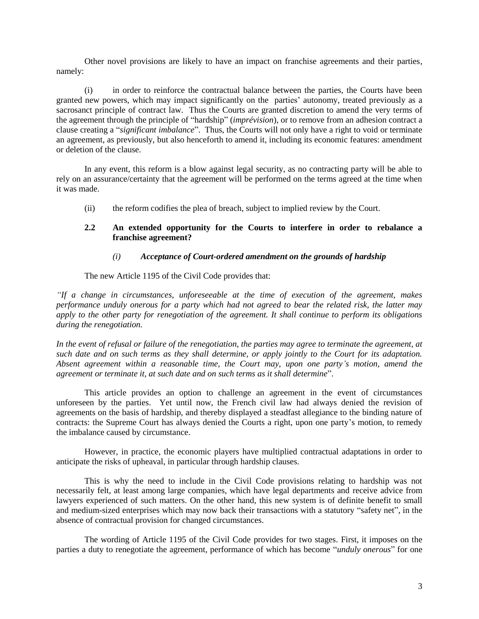Other novel provisions are likely to have an impact on franchise agreements and their parties, namely:

(i) in order to reinforce the contractual balance between the parties, the Courts have been granted new powers, which may impact significantly on the parties' autonomy, treated previously as a sacrosanct principle of contract law. Thus the Courts are granted discretion to amend the very terms of the agreement through the principle of "hardship" (*imprévision*), or to remove from an adhesion contract a clause creating a "*significant imbalance*". Thus, the Courts will not only have a right to void or terminate an agreement, as previously, but also henceforth to amend it, including its economic features: amendment or deletion of the clause.

In any event, this reform is a blow against legal security, as no contracting party will be able to rely on an assurance/certainty that the agreement will be performed on the terms agreed at the time when it was made.

(ii) the reform codifies the plea of breach, subject to implied review by the Court.

#### <span id="page-4-0"></span>**2.2 An extended opportunity for the Courts to interfere in order to rebalance a franchise agreement?**

#### *(i) Acceptance of Court-ordered amendment on the grounds of hardship*

<span id="page-4-1"></span>The new Article 1195 of the Civil Code provides that:

*"If a change in circumstances, unforeseeable at the time of execution of the agreement, makes performance unduly onerous for a party which had not agreed to bear the related risk, the latter may apply to the other party for renegotiation of the agreement. It shall continue to perform its obligations during the renegotiation.*

In the event of refusal or failure of the renegotiation, the parties may agree to terminate the agreement, at *such date and on such terms as they shall determine, or apply jointly to the Court for its adaptation. Absent agreement within a reasonable time, the Court may, upon one party's motion, amend the agreement or terminate it, at such date and on such terms as it shall determine*".

This article provides an option to challenge an agreement in the event of circumstances unforeseen by the parties. Yet until now, the French civil law had always denied the revision of agreements on the basis of hardship, and thereby displayed a steadfast allegiance to the binding nature of contracts: the Supreme Court has always denied the Courts a right, upon one party's motion, to remedy the imbalance caused by circumstance.

However, in practice, the economic players have multiplied contractual adaptations in order to anticipate the risks of upheaval, in particular through hardship clauses.

This is why the need to include in the Civil Code provisions relating to hardship was not necessarily felt, at least among large companies, which have legal departments and receive advice from lawyers experienced of such matters. On the other hand, this new system is of definite benefit to small and medium-sized enterprises which may now back their transactions with a statutory "safety net", in the absence of contractual provision for changed circumstances.

The wording of Article 1195 of the Civil Code provides for two stages. First, it imposes on the parties a duty to renegotiate the agreement, performance of which has become "*unduly onerous*" for one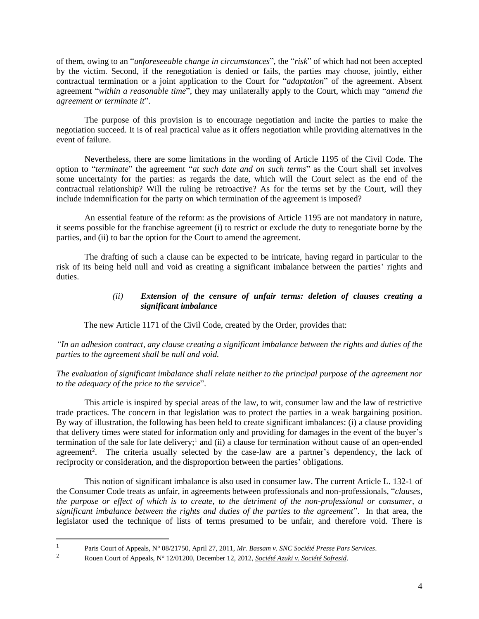of them, owing to an "*unforeseeable change in circumstances*", the "*risk*" of which had not been accepted by the victim. Second, if the renegotiation is denied or fails, the parties may choose, jointly, either contractual termination or a joint application to the Court for "*adaptation*" of the agreement. Absent agreement "*within a reasonable time*", they may unilaterally apply to the Court, which may "*amend the agreement or terminate it*".

The purpose of this provision is to encourage negotiation and incite the parties to make the negotiation succeed. It is of real practical value as it offers negotiation while providing alternatives in the event of failure.

Nevertheless, there are some limitations in the wording of Article 1195 of the Civil Code. The option to "*terminate*" the agreement "*at such date and on such terms*" as the Court shall set involves some uncertainty for the parties: as regards the date, which will the Court select as the end of the contractual relationship? Will the ruling be retroactive? As for the terms set by the Court, will they include indemnification for the party on which termination of the agreement is imposed?

An essential feature of the reform: as the provisions of Article 1195 are not mandatory in nature, it seems possible for the franchise agreement (i) to restrict or exclude the duty to renegotiate borne by the parties, and (ii) to bar the option for the Court to amend the agreement.

<span id="page-5-0"></span>The drafting of such a clause can be expected to be intricate, having regard in particular to the risk of its being held null and void as creating a significant imbalance between the parties' rights and duties.

### *(ii) Extension of the censure of unfair terms: deletion of clauses creating a significant imbalance*

The new Article 1171 of the Civil Code, created by the Order, provides that:

*"In an adhesion contract, any clause creating a significant imbalance between the rights and duties of the parties to the agreement shall be null and void.*

## *The evaluation of significant imbalance shall relate neither to the principal purpose of the agreement nor to the adequacy of the price to the service*".

This article is inspired by special areas of the law, to wit, consumer law and the law of restrictive trade practices. The concern in that legislation was to protect the parties in a weak bargaining position. By way of illustration, the following has been held to create significant imbalances: (i) a clause providing that delivery times were stated for information only and providing for damages in the event of the buyer's termination of the sale for late delivery;<sup>1</sup> and (ii) a clause for termination without cause of an open-ended agreement<sup>2</sup>. The criteria usually selected by the case-law are a partner's dependency, the lack of reciprocity or consideration, and the disproportion between the parties' obligations.

This notion of significant imbalance is also used in consumer law. The current Article L. 132-1 of the Consumer Code treats as unfair, in agreements between professionals and non-professionals, "*clauses, the purpose or effect of which is to create, to the detriment of the non-professional or consumer, a significant imbalance between the rights and duties of the parties to the agreement*". In that area, the legislator used the technique of lists of terms presumed to be unfair, and therefore void. There is

 $\frac{1}{1}$ Paris Court of Appeals, N° 08/21750, April 27, 2011, *Mr. Bassam v. SNC Société Presse Pars Services*.

<sup>2</sup> Rouen Court of Appeals, N° 12/01200, December 12, 2012, *Société Azuki v. Société Sofresid*.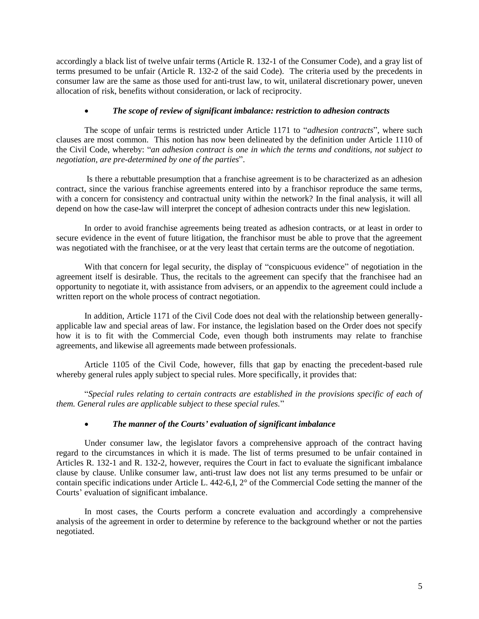accordingly a black list of twelve unfair terms (Article R. 132-1 of the Consumer Code), and a gray list of terms presumed to be unfair (Article R. 132-2 of the said Code). The criteria used by the precedents in consumer law are the same as those used for anti-trust law, to wit, unilateral discretionary power, uneven allocation of risk, benefits without consideration, or lack of reciprocity.

## *The scope of review of significant imbalance: restriction to adhesion contracts*

<span id="page-6-0"></span>The scope of unfair terms is restricted under Article 1171 to "*adhesion contracts*", where such clauses are most common. This notion has now been delineated by the definition under Article 1110 of the Civil Code, whereby: "*an adhesion contract is one in which the terms and conditions, not subject to negotiation, are pre-determined by one of the parties*".

Is there a rebuttable presumption that a franchise agreement is to be characterized as an adhesion contract, since the various franchise agreements entered into by a franchisor reproduce the same terms, with a concern for consistency and contractual unity within the network? In the final analysis, it will all depend on how the case-law will interpret the concept of adhesion contracts under this new legislation.

In order to avoid franchise agreements being treated as adhesion contracts, or at least in order to secure evidence in the event of future litigation, the franchisor must be able to prove that the agreement was negotiated with the franchisee, or at the very least that certain terms are the outcome of negotiation.

With that concern for legal security, the display of "conspicuous evidence" of negotiation in the agreement itself is desirable. Thus, the recitals to the agreement can specify that the franchisee had an opportunity to negotiate it, with assistance from advisers, or an appendix to the agreement could include a written report on the whole process of contract negotiation.

In addition, Article 1171 of the Civil Code does not deal with the relationship between generallyapplicable law and special areas of law. For instance, the legislation based on the Order does not specify how it is to fit with the Commercial Code, even though both instruments may relate to franchise agreements, and likewise all agreements made between professionals.

Article 1105 of the Civil Code, however, fills that gap by enacting the precedent-based rule whereby general rules apply subject to special rules. More specifically, it provides that:

"*Special rules relating to certain contracts are established in the provisions specific of each of them. General rules are applicable subject to these special rules.*"

# *The manner of the Courts' evaluation of significant imbalance*

<span id="page-6-1"></span>Under consumer law, the legislator favors a comprehensive approach of the contract having regard to the circumstances in which it is made. The list of terms presumed to be unfair contained in Articles R. 132-1 and R. 132-2, however, requires the Court in fact to evaluate the significant imbalance clause by clause. Unlike consumer law, anti-trust law does not list any terms presumed to be unfair or contain specific indications under Article L. 442-6,I, 2° of the Commercial Code setting the manner of the Courts' evaluation of significant imbalance.

In most cases, the Courts perform a concrete evaluation and accordingly a comprehensive analysis of the agreement in order to determine by reference to the background whether or not the parties negotiated.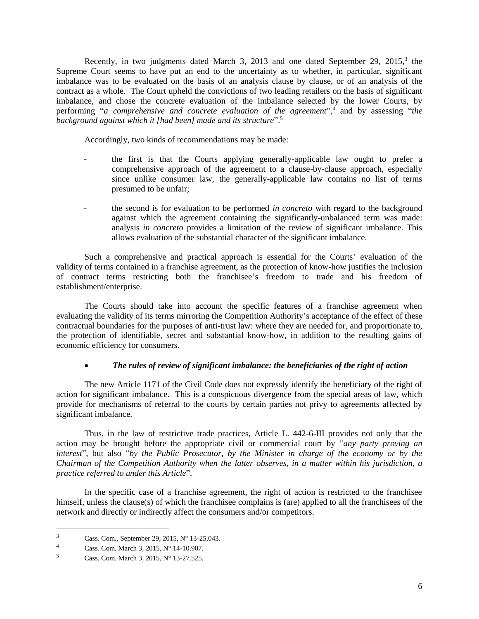Recently, in two judgments dated March 3, 2013 and one dated September 29, 2015,<sup>3</sup> the Supreme Court seems to have put an end to the uncertainty as to whether, in particular, significant imbalance was to be evaluated on the basis of an analysis clause by clause, or of an analysis of the contract as a whole. The Court upheld the convictions of two leading retailers on the basis of significant imbalance, and chose the concrete evaluation of the imbalance selected by the lower Courts, by performing "*a comprehensive and concrete evaluation of the agreement*", 4 and by assessing "*the background against which it [had been] made and its structure*". 5

Accordingly, two kinds of recommendations may be made:

- the first is that the Courts applying generally-applicable law ought to prefer a comprehensive approach of the agreement to a clause-by-clause approach, especially since unlike consumer law, the generally-applicable law contains no list of terms presumed to be unfair;
- the second is for evaluation to be performed *in concreto* with regard to the background against which the agreement containing the significantly-unbalanced term was made: analysis *in concreto* provides a limitation of the review of significant imbalance. This allows evaluation of the substantial character of the significant imbalance.

Such a comprehensive and practical approach is essential for the Courts' evaluation of the validity of terms contained in a franchise agreement, as the protection of know-how justifies the inclusion of contract terms restricting both the franchisee's freedom to trade and his freedom of establishment/enterprise.

The Courts should take into account the specific features of a franchise agreement when evaluating the validity of its terms mirroring the Competition Authority's acceptance of the effect of these contractual boundaries for the purposes of anti-trust law: where they are needed for, and proportionate to, the protection of identifiable, secret and substantial know-how, in addition to the resulting gains of economic efficiency for consumers.

# *The rules of review of significant imbalance: the beneficiaries of the right of action*

<span id="page-7-0"></span>The new Article 1171 of the Civil Code does not expressly identify the beneficiary of the right of action for significant imbalance. This is a conspicuous divergence from the special areas of law, which provide for mechanisms of referral to the courts by certain parties not privy to agreements affected by significant imbalance.

Thus, in the law of restrictive trade practices, Article L. 442-6-III provides not only that the action may be brought before the appropriate civil or commercial court by "*any party proving an interest*", but also "*by the Public Prosecutor, by the Minister in charge of the economy or by the Chairman of the Competition Authority when the latter observes, in a matter within his jurisdiction, a practice referred to under this Article*".

In the specific case of a franchise agreement, the right of action is restricted to the franchisee himself, unless the clause(s) of which the franchisee complains is (are) applied to all the franchisees of the network and directly or indirectly affect the consumers and/or competitors.

l

<sup>&</sup>lt;sup>3</sup> Cass. Com., September 29, 2015, N° 13-25.043.<br>4 Cass. Com. Marsh <sup>2</sup>, 2015, N° 14, 10,007.

<sup>&</sup>lt;sup>4</sup> Cass. Com. March 3, 2015, N° 14-10.907.<br> **6** Cass. Com. March 3, 2015, N° 13, 27, 525

Cass. Com. March 3, 2015, N° 13-27.525.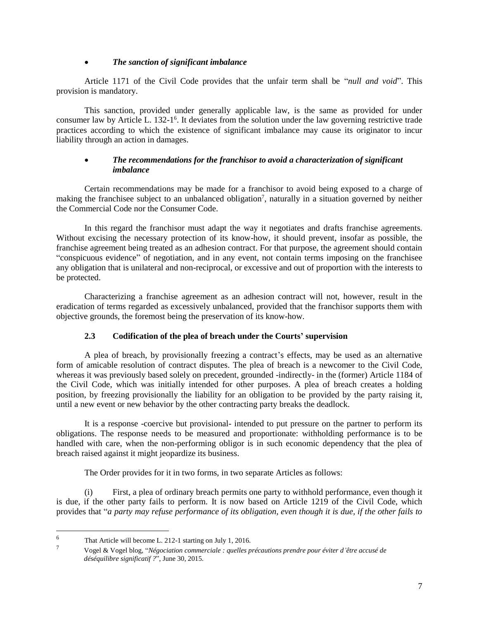## *The sanction of significant imbalance*

<span id="page-8-0"></span>Article 1171 of the Civil Code provides that the unfair term shall be "*null and void*". This provision is mandatory.

This sanction, provided under generally applicable law, is the same as provided for under consumer law by Article L. 132-1<sup>6</sup>. It deviates from the solution under the law governing restrictive trade practices according to which the existence of significant imbalance may cause its originator to incur liability through an action in damages.

## *The recommendations for the franchisor to avoid a characterization of significant imbalance*

<span id="page-8-1"></span>Certain recommendations may be made for a franchisor to avoid being exposed to a charge of making the franchisee subject to an unbalanced obligation<sup>7</sup>, naturally in a situation governed by neither the Commercial Code nor the Consumer Code.

In this regard the franchisor must adapt the way it negotiates and drafts franchise agreements. Without excising the necessary protection of its know-how, it should prevent, insofar as possible, the franchise agreement being treated as an adhesion contract. For that purpose, the agreement should contain "conspicuous evidence" of negotiation, and in any event, not contain terms imposing on the franchisee any obligation that is unilateral and non-reciprocal, or excessive and out of proportion with the interests to be protected.

Characterizing a franchise agreement as an adhesion contract will not, however, result in the eradication of terms regarded as excessively unbalanced, provided that the franchisor supports them with objective grounds, the foremost being the preservation of its know-how.

# **2.3 Codification of the plea of breach under the Courts' supervision**

<span id="page-8-2"></span>A plea of breach, by provisionally freezing a contract's effects, may be used as an alternative form of amicable resolution of contract disputes. The plea of breach is a newcomer to the Civil Code, whereas it was previously based solely on precedent, grounded -indirectly- in the (former) Article 1184 of the Civil Code, which was initially intended for other purposes. A plea of breach creates a holding position, by freezing provisionally the liability for an obligation to be provided by the party raising it, until a new event or new behavior by the other contracting party breaks the deadlock.

It is a response -coercive but provisional- intended to put pressure on the partner to perform its obligations. The response needs to be measured and proportionate: withholding performance is to be handled with care, when the non-performing obligor is in such economic dependency that the plea of breach raised against it might jeopardize its business.

The Order provides for it in two forms, in two separate Articles as follows:

(i) First, a plea of ordinary breach permits one party to withhold performance, even though it is due, if the other party fails to perform. It is now based on Article 1219 of the Civil Code, which provides that "*a party may refuse performance of its obligation, even though it is due, if the other fails to* 

l

<sup>&</sup>lt;sup>6</sup> That Article will become L. 212-1 starting on July 1, 2016.

<sup>7</sup> Vogel & Vogel blog, "*Négociation commerciale : quelles précautions prendre pour éviter d'être accusé de déséquilibre significatif ?*", June 30, 2015.